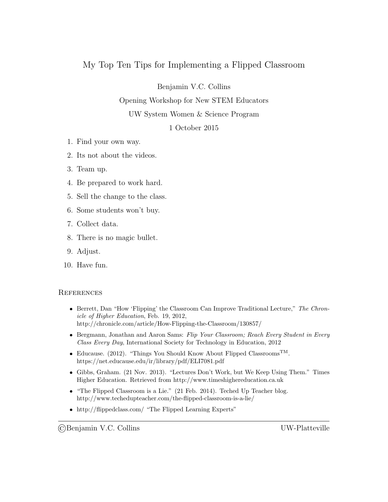## My Top Ten Tips for Implementing a Flipped Classroom

Benjamin V.C. Collins

Opening Workshop for New STEM Educators

UW System Women & Science Program

1 October 2015

- 1. Find your own way.
- 2. Its not about the videos.
- 3. Team up.
- 4. Be prepared to work hard.
- 5. Sell the change to the class.
- 6. Some students won't buy.
- 7. Collect data.
- 8. There is no magic bullet.
- 9. Adjust.
- 10. Have fun.

## **REFERENCES**

- **Berrett, Dan "How 'Flipping' the Classroom Can Improve Traditional Lecture,"** The Chronicle of Higher Education, Feb. 19, 2012, http://chronicle.com/article/How-Flipping-the-Classroom/130857/
- Bergmann, Jonathan and Aaron Sams: Flip Your Classroom; Reach Every Student in Every Class Every Day, International Society for Technology in Education, 2012
- $\bullet$  Educause. (2012). "Things You Should Know About Flipped Classrooms<sup>TM</sup>. https://net.educause.edu/ir/library/pdf/ELI7081.pdf
- Gibbs, Graham. (21 Nov. 2013). "Lectures Don't Work, but We Keep Using Them." Times Higher Education. Retrieved from http://www.timeshighereducation.ca.uk
- "The Flipped Classroom is a Lie." (21 Feb. 2014). Teched Up Teacher blog. http://www.techedupteacher.com/the-flipped-classroom-is-a-lie/
- http://flippedclass.com/ "The Flipped Learning Experts"